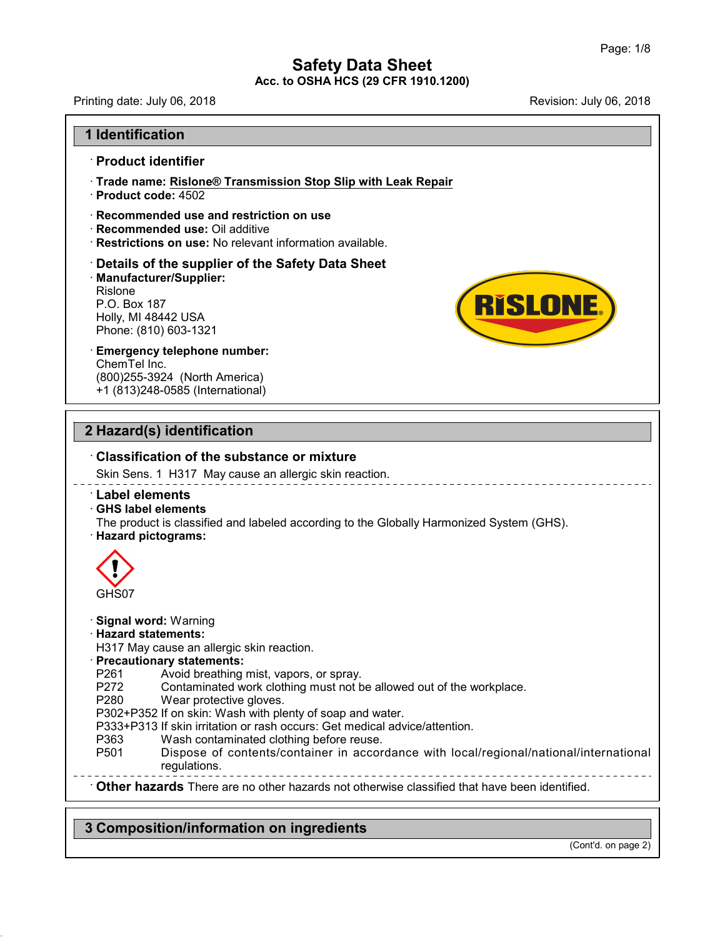Printing date: July 06,2018 Revision: July 06,2018

**RISLONE.** 

## **1 Identification**

### · **Product identifier**

- · **Trade name: Rislone® Transmission Stop Slip with Leak Repair**
- · **Product code:** 4502
- · **Recommended use and restriction on use**
- · **Recommended use:** Oil additive
- · **Restrictions on use:** No relevant information available.

# · **Details of the supplier of the Safety Data Sheet** • **Details of the supplier of the Saf**<br>• Manufacturer/Supplier:<br>Rislone<br>P.O. Box 187<br>Holly, MI 48442 USA<br>Phone: (810) 603-1321<br>• **Emergency telephone number:** · **Manufacturer/Supplier:** Rislone Restrictions on use: No rel<br>Details of the supplier o<br>Manufacturer/Supplier:<br>Rislone<br>P.O. Box 187<br>Holly, MI 48442 USA<br>Phone: (810) 603-1321 **Details of the supplier of the {<br>Manufacturer/Supplier:**<br>Rislone<br>P.O. Box 187<br>Holly, MI 48442 USA<br>Phone: (810) 603-1321

ChemTel Inc. (800)255-3924 (North America) +1 (813)248-0585 (International)

# **2 Hazard(s) identification**

# · **Classification of the substance or mixture**

Skin Sens. 1 H317 May cause an allergic skin reaction.

· **Label elements**

· **GHS label elements**

The product is classified and labeled according to the Globally Harmonized System (GHS). · **Hazard pictograms:**



47.0.2

· **Signal word:** Warning

### · **Hazard statements:**

H317 May cause an allergic skin reaction.

· **Precautionary statements:**

- 
- P261 Avoid breathing mist, vapors, or spray.<br>P272 Contaminated work clothing must not b Contaminated work clothing must not be allowed out of the workplace.
- P280 Wear protective gloves.
- P302+P352 If on skin: Wash with plenty of soap and water.

P333+P313 If skin irritation or rash occurs: Get medical advice/attention.

- 
- P363 Wash contaminated clothing before reuse.<br>P501 Dispose of contents/container in accor Dispose of contents/container in accordance with local/regional/national/international regulations.

· **Other hazards** There are no other hazards nototherwise classified that have been identified.

# **3 Composition/information on ingredients**

(Cont'd. on page 2)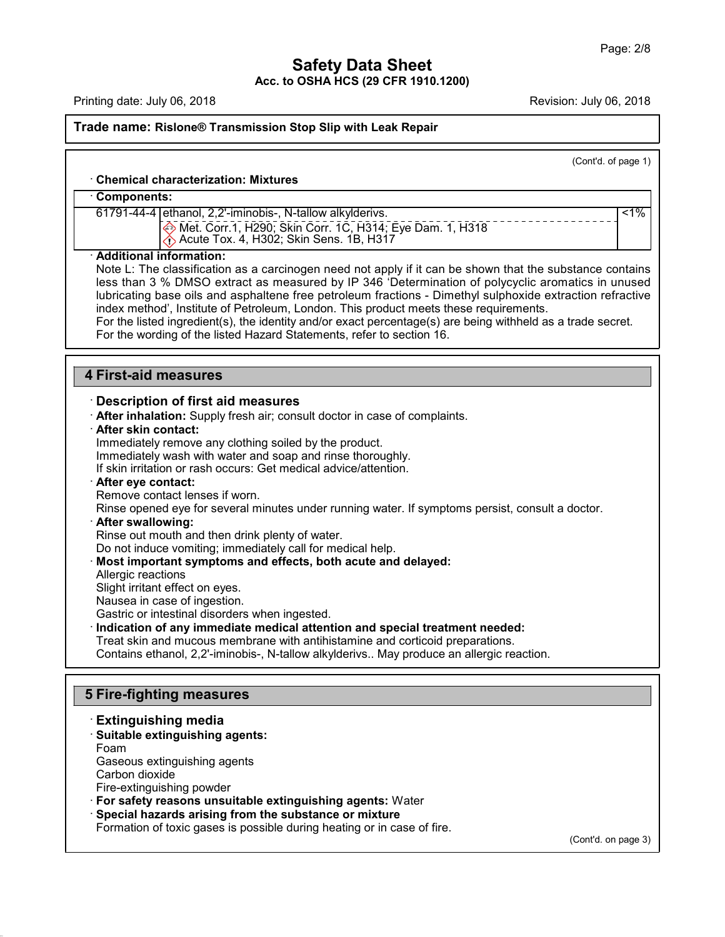Printing date: July 06, 2018 **Printing date: July 06, 2018** Revision: July 06, 2018

47.0.2

# **Trade name: Rislone® Transmission Stop Slip with Leak Repair**

|                                                                                                                                                                                                    | (Cont'd. of page 1) |
|----------------------------------------------------------------------------------------------------------------------------------------------------------------------------------------------------|---------------------|
| <b>Chemical characterization: Mixtures</b>                                                                                                                                                         |                     |
| Components:                                                                                                                                                                                        |                     |
| 61791-44-4 ethanol, 2,2'-iminobis-, N-tallow alkylderivs.                                                                                                                                          | $1\%$               |
| Met. Corr.1, H290; Skin Corr. 1C, H314; Eye Dam. 1, H318                                                                                                                                           |                     |
| $\langle \cdot \rangle$ Acute Tox. 4, H302; Skin Sens. 1B, H317                                                                                                                                    |                     |
| · Additional information:                                                                                                                                                                          |                     |
| Note L: The classification as a carcinogen need not apply if it can be shown that the substance contains                                                                                           |                     |
| less than 3 % DMSO extract as measured by IP 346 'Determination of polycyclic aromatics in unused                                                                                                  |                     |
| lubricating base oils and asphaltene free petroleum fractions - Dimethyl sulphoxide extraction refractive<br>index method', Institute of Petroleum, London. This product meets these requirements. |                     |
| For the listed ingredient(s), the identity and/or exact percentage(s) are being withheld as a trade secret.                                                                                        |                     |
| For the wording of the listed Hazard Statements, refer to section 16.                                                                                                                              |                     |
|                                                                                                                                                                                                    |                     |
| <b>4 First-aid measures</b>                                                                                                                                                                        |                     |
|                                                                                                                                                                                                    |                     |
| <b>Description of first aid measures</b>                                                                                                                                                           |                     |
| . After inhalation: Supply fresh air; consult doctor in case of complaints.                                                                                                                        |                     |
| · After skin contact:<br>Immediately remove any clothing soiled by the product.                                                                                                                    |                     |
| Immediately wash with water and soap and rinse thoroughly.                                                                                                                                         |                     |
| If skin irritation or rash occurs: Get medical advice/attention.                                                                                                                                   |                     |
| After eye contact:                                                                                                                                                                                 |                     |
| Remove contact lenses if worn.                                                                                                                                                                     |                     |
| Rinse opened eye for several minutes under running water. If symptoms persist, consult a doctor.                                                                                                   |                     |
| · After swallowing:<br>Rinse out mouth and then drink plenty of water.                                                                                                                             |                     |
| Do not induce vomiting; immediately call for medical help.                                                                                                                                         |                     |
| Most important symptoms and effects, both acute and delayed:                                                                                                                                       |                     |
| Allergic reactions                                                                                                                                                                                 |                     |
| Slight irritant effect on eyes.                                                                                                                                                                    |                     |
| Nausea in case of ingestion.                                                                                                                                                                       |                     |
| Gastric or intestinal disorders when ingested.<br>Indication of any immediate medical attention and special treatment needed:                                                                      |                     |
| Treat skin and mucous membrane with antihistamine and corticoid preparations.                                                                                                                      |                     |
| Contains ethanol, 2,2'-iminobis-, N-tallow alkylderivs May produce an allergic reaction.                                                                                                           |                     |
|                                                                                                                                                                                                    |                     |
| <b>5 Fire-fighting measures</b>                                                                                                                                                                    |                     |
|                                                                                                                                                                                                    |                     |
| <b>Extinguishing media</b>                                                                                                                                                                         |                     |
| · Suitable extinguishing agents:<br>Foam                                                                                                                                                           |                     |
| Gaseous extinguishing agents                                                                                                                                                                       |                     |
| Carbon dioxide                                                                                                                                                                                     |                     |
| Fire-extinguishing powder                                                                                                                                                                          |                     |
| For safety reasons unsuitable extinguishing agents: Water                                                                                                                                          |                     |
| Special hazards arising from the substance or mixture                                                                                                                                              |                     |
| Formation of toxic gases is possible during heating or in case of fire.                                                                                                                            |                     |

(Cont'd. on page 3)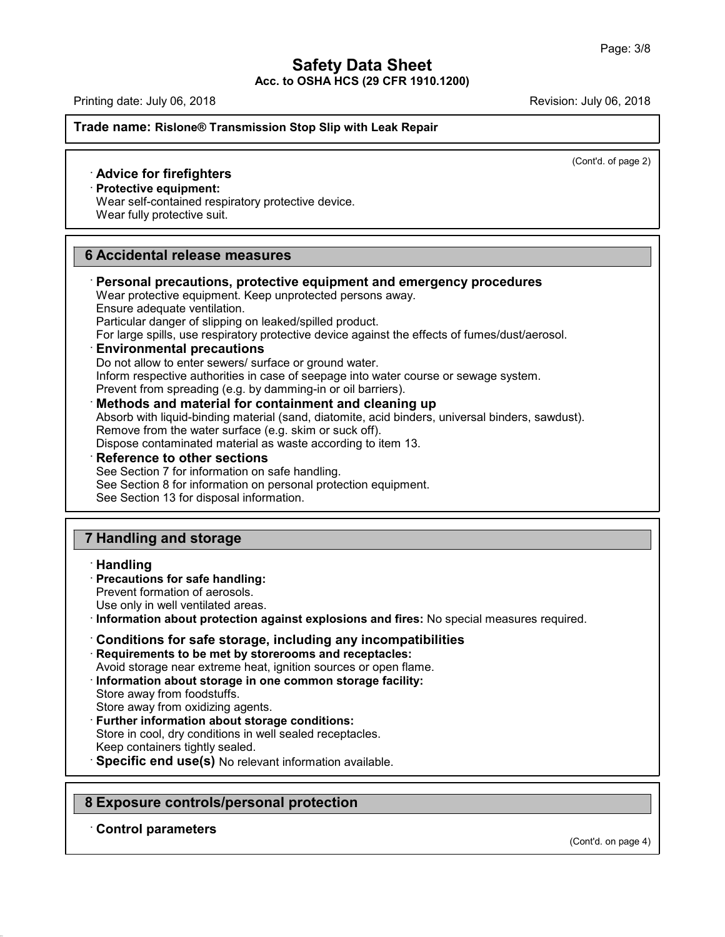Printing date: July 06,2018 Revision: July 06,2018

### **Trade name: Rislone® Transmission Stop Slip with Leak Repair**

(Cont'd. of page 2)

## · **Advice for firefighters**

· **Protective equipment:**

Wear self-contained respiratory protective device.

Wear fully protective suit.

# **6 Accidental release measures**

· **Personal precautions, protective equipment and emergency procedures** Wear protective equipment. Keep unprotected persons away. Ensure adequate ventilation. Particular danger of slipping on leaked/spilled product. For large spills, use respiratory protective device against the effects of fumes/dust/aerosol. · **Environmental precautions** Do not allow to enter sewers/ surface or ground water. Inform respective authorities in case of seepage into water course or sewage system. Prevent from spreading (e.g. by damming-in or oil barriers). · **Methods and material for containment and cleaning up** Absorb with liquid-binding material (sand, diatomite, acid binders, universal binders, sawdust). Remove from the water surface (e.g. skim or suck off). Dispose contaminated material as waste according to item 13. · **Reference to other sections** See Section 7 for information on safe handling. See Section 8 for information on personal protection equipment. See Section 13 for disposal information.

# **7 Handling and storage**

#### · **Handling**

# · **Precautions for safe handling:**

Prevent formation of aerosols.

Use only in well ventilated areas.

· **Information about protection against explosions and fires:** No special measures required.

# · **Conditions for safe storage, including any incompatibilities**

· **Requirements to be met by storerooms and receptacles:**

Avoid storage near extreme heat, ignition sources or open flame.

· **Information about storage in one common storage facility:**

Store away from foodstuffs.

Store away from oxidizing agents.

· **Further information about storage conditions:**

Store in cool, dry conditions in well sealed receptacles.

Keep containers tightly sealed.

· **Specific end use(s)** No relevant information available.

# **8 Exposure controls/personal protection**

# · **Control parameters**

47.0.2

(Cont'd. on page 4)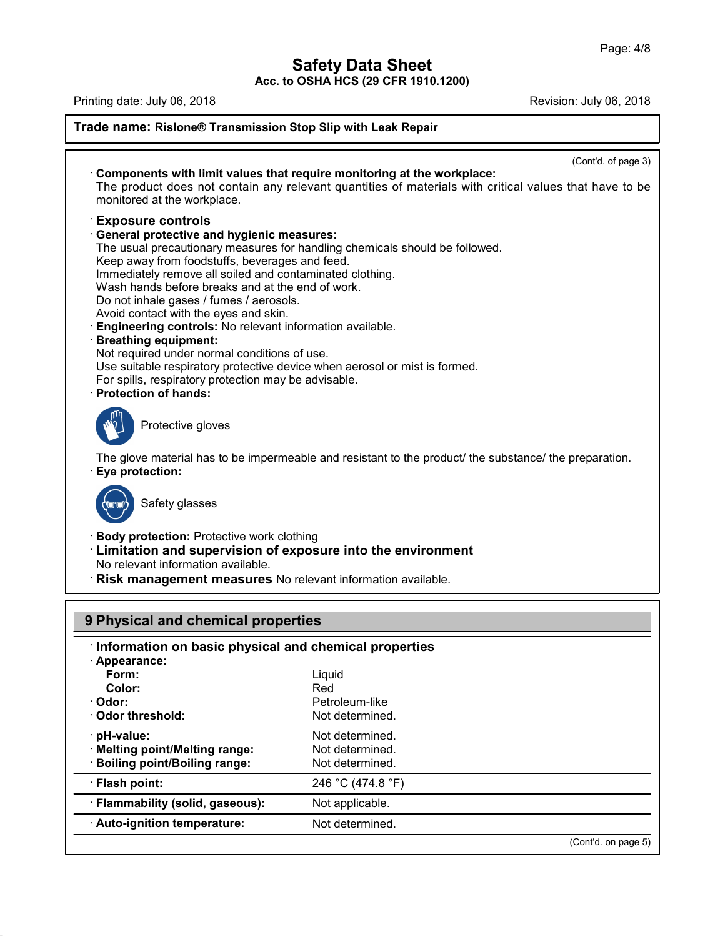# **Safety Data Sheet**

**Acc. to OSHA HCS (29 CFR 1910.1200)**

| Printing date: July 06, 2018                                                                                                                                                                                                                                                                                                                                                                                                                                                                                                                                                                                                                                                                                                      | Revision: July 06, 2018 |  |
|-----------------------------------------------------------------------------------------------------------------------------------------------------------------------------------------------------------------------------------------------------------------------------------------------------------------------------------------------------------------------------------------------------------------------------------------------------------------------------------------------------------------------------------------------------------------------------------------------------------------------------------------------------------------------------------------------------------------------------------|-------------------------|--|
| Trade name: Rislone® Transmission Stop Slip with Leak Repair                                                                                                                                                                                                                                                                                                                                                                                                                                                                                                                                                                                                                                                                      |                         |  |
|                                                                                                                                                                                                                                                                                                                                                                                                                                                                                                                                                                                                                                                                                                                                   | (Cont'd. of page 3)     |  |
| Components with limit values that require monitoring at the workplace:<br>The product does not contain any relevant quantities of materials with critical values that have to be<br>monitored at the workplace.                                                                                                                                                                                                                                                                                                                                                                                                                                                                                                                   |                         |  |
| <b>Exposure controls</b><br><b>General protective and hygienic measures:</b><br>The usual precautionary measures for handling chemicals should be followed.<br>Keep away from foodstuffs, beverages and feed.<br>Immediately remove all soiled and contaminated clothing.<br>Wash hands before breaks and at the end of work.<br>Do not inhale gases / fumes / aerosols.<br>Avoid contact with the eyes and skin.<br>Engineering controls: No relevant information available.<br><b>Breathing equipment:</b><br>Not required under normal conditions of use.<br>Use suitable respiratory protective device when aerosol or mist is formed.<br>For spills, respiratory protection may be advisable.<br><b>Protection of hands:</b> |                         |  |
| Protective gloves<br>The glove material has to be impermeable and resistant to the product/ the substance/ the preparation.                                                                                                                                                                                                                                                                                                                                                                                                                                                                                                                                                                                                       |                         |  |
| Eye protection:<br>Safety glasses                                                                                                                                                                                                                                                                                                                                                                                                                                                                                                                                                                                                                                                                                                 |                         |  |
| <b>Body protection: Protective work clothing</b><br><b>Limitation and supervision of exposure into the environment</b><br>No relevant information available.<br>Risk management measures No relevant information available.                                                                                                                                                                                                                                                                                                                                                                                                                                                                                                       |                         |  |
| 9 Physical and chemical properties                                                                                                                                                                                                                                                                                                                                                                                                                                                                                                                                                                                                                                                                                                |                         |  |
| Information on basic physical and chemical properties<br>· Appearance:                                                                                                                                                                                                                                                                                                                                                                                                                                                                                                                                                                                                                                                            |                         |  |

| Appearance:                      |                   |                     |
|----------------------------------|-------------------|---------------------|
| Form:                            | Liquid            |                     |
| Color:                           | Red               |                     |
| · Odor:                          | Petroleum-like    |                     |
| Odor threshold:                  | Not determined.   |                     |
| $\cdot$ pH-value:                | Not determined.   |                     |
| · Melting point/Melting range:   | Not determined.   |                     |
| · Boiling point/Boiling range:   | Not determined.   |                     |
| · Flash point:                   | 246 °C (474.8 °F) |                     |
| · Flammability (solid, gaseous): | Not applicable.   |                     |
| · Auto-ignition temperature:     | Not determined.   |                     |
|                                  |                   | (Cont'd. on page 5) |

47.0.2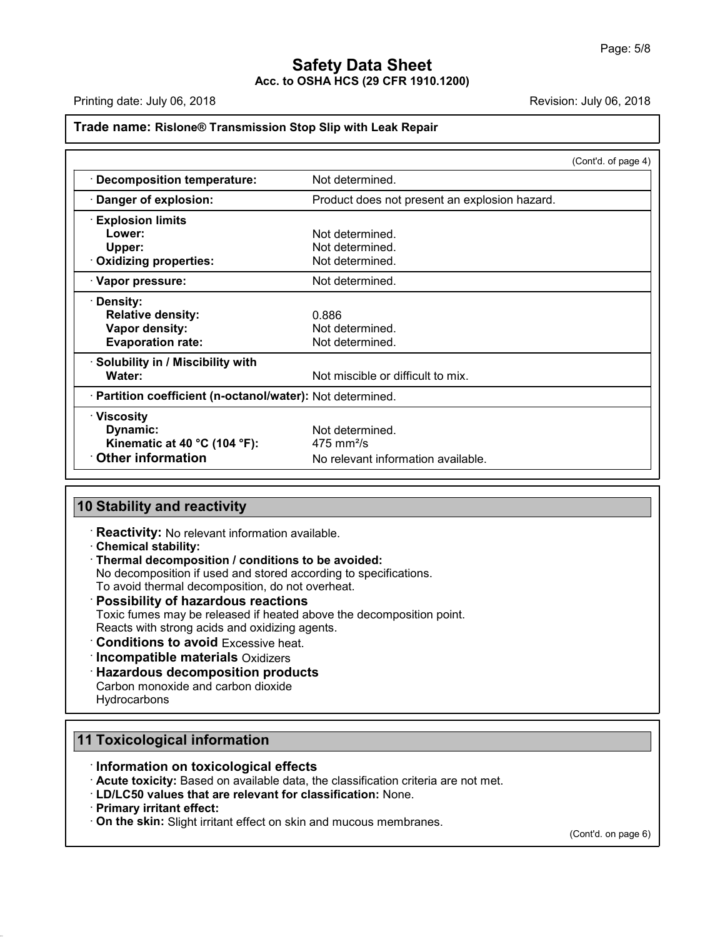Printing date: July 06, 2018 **Printing date: July 06, 2018** Revision: July 06, 2018

#### **Trade name: Rislone® Transmission Stop Slip with Leak Repair**

|                                                            |                                               | (Cont'd. of page 4) |
|------------------------------------------------------------|-----------------------------------------------|---------------------|
| · Decomposition temperature:                               | Not determined.                               |                     |
| Danger of explosion:                                       | Product does not present an explosion hazard. |                     |
| <b>Explosion limits</b>                                    |                                               |                     |
| Lower:                                                     | Not determined.                               |                     |
| Upper:                                                     | Not determined.                               |                     |
| Oxidizing properties:                                      | Not determined.                               |                     |
| · Vapor pressure:                                          | Not determined.                               |                     |
| · Density:                                                 |                                               |                     |
| <b>Relative density:</b>                                   | 0.886                                         |                     |
| Vapor density:                                             | Not determined.                               |                     |
| <b>Evaporation rate:</b>                                   | Not determined.                               |                     |
| · Solubility in / Miscibility with                         |                                               |                     |
| Water:                                                     | Not miscible or difficult to mix.             |                     |
| · Partition coefficient (n-octanol/water): Not determined. |                                               |                     |
| · Viscosity                                                |                                               |                     |
| Dynamic:                                                   | Not determined.                               |                     |
| Kinematic at 40 $^{\circ}$ C (104 $^{\circ}$ F):           | $475 \text{ mm}^2$ /s                         |                     |
| $\cdot$ Other information                                  | No relevant information available.            |                     |

## **10 Stability and reactivity**

· **Reactivity:** No relevant information available.

· **Chemical stability:**

### · **Thermal decomposition / conditions to be avoided:**

No decomposition if used and stored according to specifications.

To avoid thermal decomposition, do not overheat.

# · **Possibility of hazardous reactions**

Toxic fumes may be released if heated above the decomposition point.

Reacts with strong acids and oxidizing agents.

- · **Conditions to avoid** Excessive heat.
- · **Incompatible materials** Oxidizers
- · **Hazardous decomposition products**

Carbon monoxide and carbon dioxide **Hydrocarbons** 

# **11 Toxicological information**

## · **Information on toxicological effects**

· **Acute toxicity:** Based on available data, the classification criteria are not met.

- · **LD/LC50 values that are relevant for classification:** None.
- · **Primary irritant effect:**

47.0.2

· **On the skin:** Slight irritant effect on skin and mucous membranes.

(Cont'd. on page 6)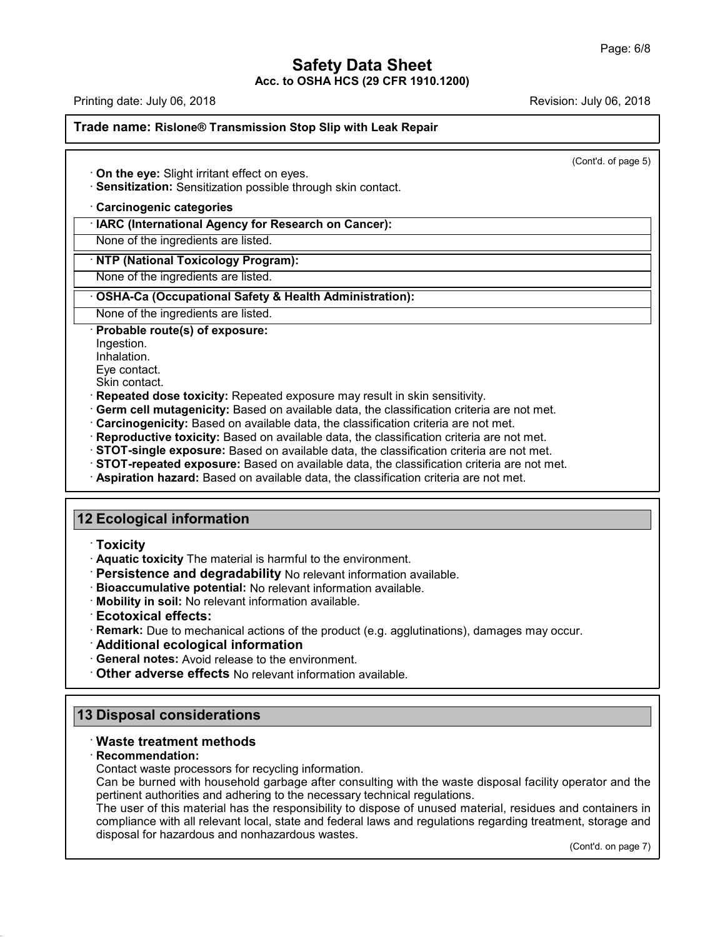Printing date: July 06,2018 Revision: July 06,2018

#### **Trade name: Rislone® Transmission Stop Slip with Leak Repair**

(Cont'd. of page 5)

· **On the eye:** Slight irritant effect on eyes.

· **Sensitization:** Sensitization possible through skin contact.

#### · **Carcinogenic categories**

· **IARC (International Agency for Research on Cancer):**

None of the ingredients are listed.

#### · **NTP (National Toxicology Program):**

None of the ingredients are listed.

#### · **OSHA-Ca (Occupational Safety & Health Administration):**

None of the ingredients are listed.

#### · **Probable route(s) of exposure:**

Ingestion.

Inhalation.

Eye contact.

Skin contact.

- · **Repeated dose toxicity:** Repeated exposure may result in skin sensitivity.
- · **Germ cell mutagenicity:** Based on available data, the classification criteria are not met.
- · **Carcinogenicity:** Based on available data, the classification criteria are not met.
- · **Reproductive toxicity:** Based on available data, the classification criteria are not met.
- · **STOT-single exposure:** Based on available data, the classification criteria are not met.
- · **STOT-repeated exposure:** Based on available data, the classification criteria are not met.
- · **Aspiration hazard:** Based on available data, the classification criteria are not met.

# **12 Ecological information**

- · **Toxicity**
- · **Aquatic toxicity** The material is harmful to the environment.
- · **Persistence and degradability** No relevant information available.
- · **Bioaccumulative potential:** No relevant information available.
- · **Mobility in soil:** No relevant information available.
- · **Ecotoxical effects:**
- · **Remark:** Due to mechanical actions of the product (e.g. agglutinations), damages may occur.
- · **Additional ecological information**

· **General notes:** Avoid release to the environment.

· **Other adverse effects** No relevant information available.

# **13 Disposal considerations**

## · **Waste treatment methods**

#### · **Recommendation:**

47.0.2

Contact waste processors for recycling information.

Can be burned with household garbage after consulting with the waste disposal facility operator and the pertinent authorities and adhering to the necessary technical regulations.

The user of this material has the responsibility to dispose of unused material, residues and containers in compliance with all relevant local, state and federal laws and regulations regarding treatment, storage and disposal for hazardous and nonhazardous wastes.

(Cont'd. on page 7)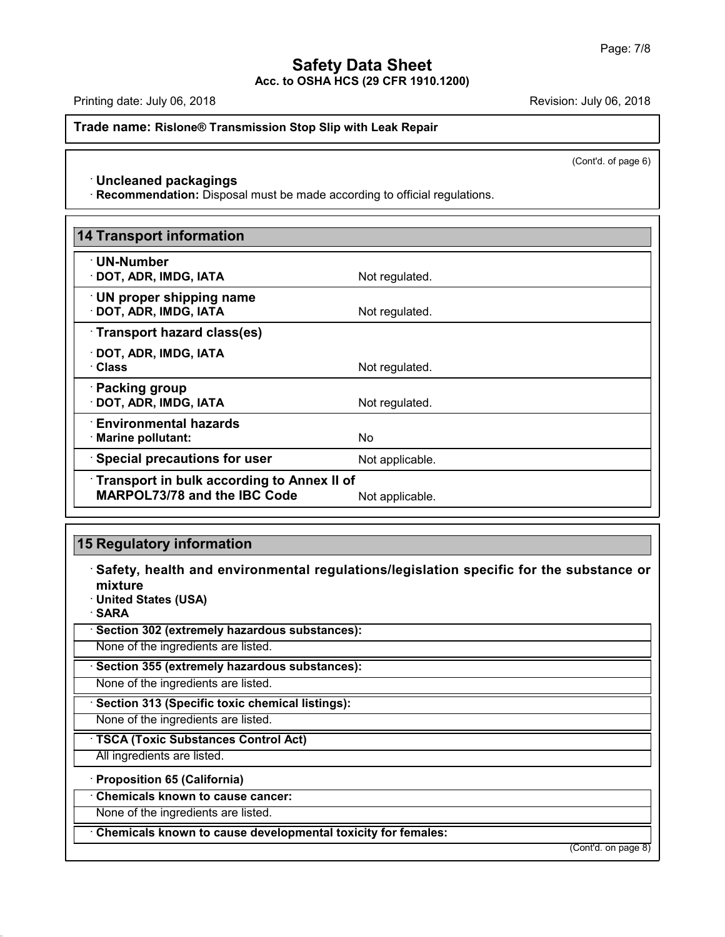Printing date: July 06, 2018 **Printing date: July 06, 2018** Revision: July 06, 2018

**Trade name: Rislone® Transmission Stop Slip with Leak Repair**

(Cont'd. of page 6)

## · **Uncleaned packagings**

· **Recommendation:** Disposal must be made according to official regulations.

| <b>14 Transport information</b>                                                   |                 |
|-----------------------------------------------------------------------------------|-----------------|
| $\cdot$ UN-Number<br>· DOT, ADR, IMDG, IATA                                       | Not regulated.  |
| $\cdot$ UN proper shipping name<br>· DOT, ADR, IMDG, IATA                         | Not regulated.  |
| Transport hazard class(es)                                                        |                 |
| $\cdot$ DOT, ADR, IMDG, IATA<br>· Class                                           | Not regulated.  |
| · Packing group<br>· DOT, ADR, IMDG, IATA                                         | Not regulated.  |
| <b>Environmental hazards</b><br>· Marine pollutant:                               | No.             |
| <b>Special precautions for user</b>                                               | Not applicable. |
| <b>Transport in bulk according to Annex II of</b><br>MARPOL73/78 and the IBC Code | Not applicable. |

# **15 Regulatory information**

· **Safety, health and environmental regulations/legislation specific for the substance or mixture**

· **United States (USA)**

· **SARA**

47.0.2

· **Section 302 (extremely hazardous substances):**

None of the ingredients are listed.

· **Section 355 (extremely hazardous substances):**

None of the ingredients are listed.

· **Section 313 (Specific toxic chemical listings):**

None of the ingredients are listed.

· **TSCA (Toxic Substances Control Act)**

All ingredients are listed.

· **Proposition 65 (California)**

· **Chemicals known to cause cancer:**

None of the ingredients are listed.

· **Chemicals known to cause developmental toxicity for females:**

(Cont'd. on page 8)